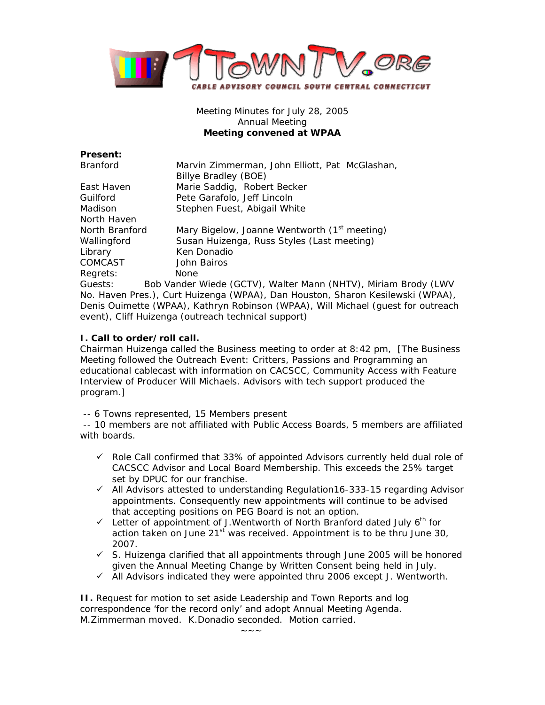

Meeting Minutes for July 28, 2005 Annual Meeting **Meeting convened at WPAA** 

| <b>Present:</b>                                                                  |                                                                |
|----------------------------------------------------------------------------------|----------------------------------------------------------------|
| <b>Branford</b>                                                                  | Marvin Zimmerman, John Elliott, Pat McGlashan,                 |
|                                                                                  | Billye Bradley (BOE)                                           |
| East Haven                                                                       | Marie Saddig, Robert Becker                                    |
| Guilford                                                                         | Pete Garafolo, Jeff Lincoln                                    |
| Madison                                                                          | Stephen Fuest, Abigail White                                   |
| North Haven                                                                      |                                                                |
| North Branford                                                                   | Mary Bigelow, Joanne Wentworth (1 <sup>st</sup> meeting)       |
| Wallingford                                                                      | Susan Huizenga, Russ Styles (Last meeting)                     |
| Library                                                                          | Ken Donadio                                                    |
| COMCAST                                                                          | John Bairos                                                    |
| Regrets:                                                                         | None.                                                          |
| Guests:                                                                          | Bob Vander Wiede (GCTV), Walter Mann (NHTV), Miriam Brody (LWV |
| No. Haven Pres.), Curt Huizenga (WPAA), Dan Houston, Sharon Kesilewski (WPAA),   |                                                                |
| Denis Ouimette (WPAA), Kathryn Robinson (WPAA), Will Michael (guest for outreach |                                                                |
| event), Cliff Huizenga (outreach technical support)                              |                                                                |

## **I. Call to order/roll call.**

Chairman Huizenga called the Business meeting to order at 8:42 pm, [The Business Meeting followed the Outreach Event: Critters, Passions and Programming an educational cablecast with information on CACSCC, Community Access with Feature Interview of Producer Will Michaels. Advisors with tech support produced the program.]

-- 6 Towns represented, 15 Members present

 -- 10 members are not affiliated with Public Access Boards, 5 members are affiliated with boards.

- $\checkmark$  Role Call confirmed that 33% of appointed Advisors currently held dual role of CACSCC Advisor and Local Board Membership. This exceeds the 25% target set by DPUC for our franchise.
- $\checkmark$  All Advisors attested to understanding Regulation16-333-15 regarding Advisor appointments. Consequently new appointments will continue to be advised that accepting positions on PEG Board is not an option.
- $\checkmark$  Letter of appointment of J.Wentworth of North Branford dated July 6<sup>th</sup> for action taken on June  $21^{st}$  was received. Appointment is to be thru June 30, 2007.
- $\checkmark$  S. Huizenga clarified that all appointments through June 2005 will be honored given the Annual Meeting Change by Written Consent being held in July.
- $\checkmark$  All Advisors indicated they were appointed thru 2006 except J. Wentworth.

**II.** Request for motion to set aside Leadership and Town Reports and log correspondence 'for the record only' and adopt Annual Meeting Agenda. M.Zimmerman moved. K.Donadio seconded. Motion carried.

 $~\sim~\sim~\sim~$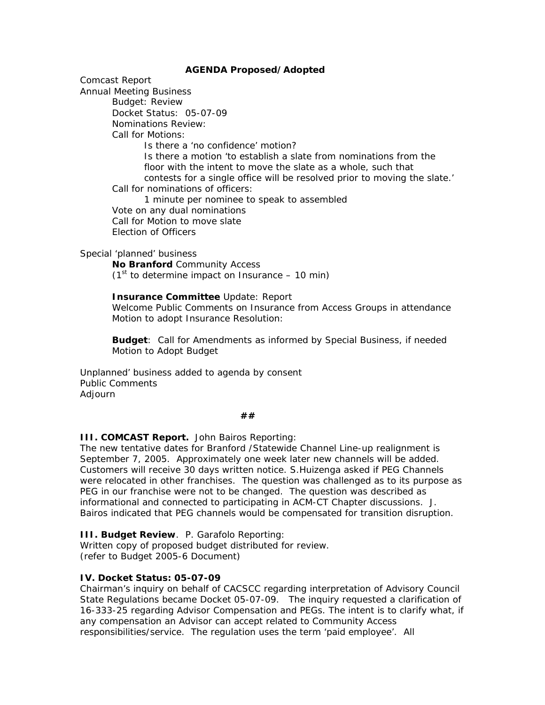## **AGENDA Proposed/Adopted**

Comcast Report

Annual Meeting Business

Budget: Review

Docket Status: 05-07-09

Nominations Review:

Call for Motions:

Is there a 'no confidence' motion?

Is there a motion 'to establish a slate from nominations from the floor with the intent to move the slate as a whole, such that contests for a single office will be resolved prior to moving the slate.'

Call for nominations of officers:

 1 minute per nominee to speak to assembled Vote on any dual nominations Call for Motion to move slate Election of Officers

Special 'planned' business

**No Branford** Community Access  $(1<sup>st</sup>$  to determine impact on Insurance – 10 min)

**Insurance Committee** Update: Report

Welcome Public Comments on Insurance from Access Groups in attendance Motion to adopt Insurance Resolution:

**Budget**: Call for Amendments as informed by Special Business, if needed Motion to Adopt Budget

Unplanned' business added to agenda by consent Public Comments Adjourn

 **##** 

**III. COMCAST Report.** John Bairos Reporting:

The new tentative dates for Branford /Statewide Channel Line-up realignment is September 7, 2005. Approximately one week later new channels will be added. Customers will receive 30 days written notice. S.Huizenga asked if PEG Channels were relocated in other franchises. The question was challenged as to its purpose as PEG in our franchise were not to be changed. The question was described as informational and connected to participating in ACM-CT Chapter discussions. J. Bairos indicated that PEG channels would be compensated for transition disruption.

**III. Budget Review**. P. Garafolo Reporting:

Written copy of proposed budget distributed for review. (refer to Budget 2005-6 Document)

## **IV. Docket Status: 05-07-09**

Chairman's inquiry on behalf of CACSCC regarding interpretation of Advisory Council State Regulations became Docket 05-07-09. The inquiry requested a clarification of 16-333-25 regarding Advisor Compensation and PEGs. The intent is to clarify what, if any compensation an Advisor can accept related to Community Access responsibilities/service. The regulation uses the term 'paid employee'. All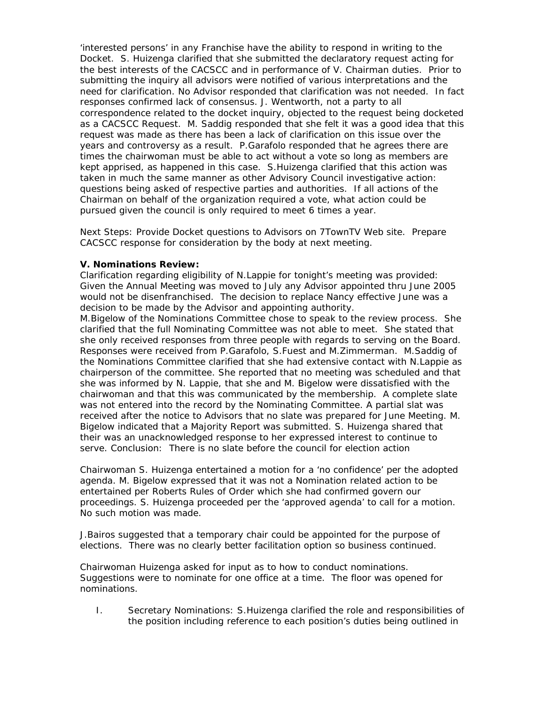'interested persons' in any Franchise have the ability to respond in writing to the Docket. S. Huizenga clarified that she submitted the declaratory request acting for the best interests of the CACSCC and in performance of V. Chairman duties. Prior to submitting the inquiry all advisors were notified of various interpretations and the need for clarification. No Advisor responded that clarification was not needed. In fact responses confirmed lack of consensus. J. Wentworth, not a party to all correspondence related to the docket inquiry, objected to the request being docketed as a CACSCC Request. M. Saddig responded that she felt it was a good idea that this request was made as there has been a lack of clarification on this issue over the years and controversy as a result. P.Garafolo responded that he agrees there are times the chairwoman must be able to act without a vote so long as members are kept apprised, as happened in this case. S.Huizenga clarified that this action was taken in much the same manner as other Advisory Council investigative action: questions being asked of respective parties and authorities. If all actions of the Chairman on behalf of the organization required a vote, what action could be pursued given the council is only required to meet 6 times a year.

Next Steps: Provide Docket questions to Advisors on 7TownTV Web site. Prepare CACSCC response for consideration by the body at next meeting.

## **V. Nominations Review:**

Clarification regarding eligibility of N.Lappie for tonight's meeting was provided: Given the Annual Meeting was moved to July any Advisor appointed thru June 2005 would not be disenfranchised. The decision to replace Nancy effective June was a decision to be made by the Advisor and appointing authority.

M.Bigelow of the Nominations Committee chose to speak to the review process. She clarified that the full Nominating Committee was not able to meet. She stated that she only received responses from three people with regards to serving on the Board. Responses were received from P.Garafolo, S.Fuest and M.Zimmerman. M.Saddig of the Nominations Committee clarified that she had extensive contact with N.Lappie as chairperson of the committee. She reported that no meeting was scheduled and that she was informed by N. Lappie, that she and M. Bigelow were dissatisfied with the chairwoman and that this was communicated by the membership. A complete slate was not entered into the record by the Nominating Committee. A partial slat was received after the notice to Advisors that no slate was prepared for June Meeting. M. Bigelow indicated that a Majority Report was submitted. S. Huizenga shared that their was an unacknowledged response to her expressed interest to continue to serve. Conclusion: There is no slate before the council for election action

Chairwoman S. Huizenga entertained a motion for a 'no confidence' per the adopted agenda. M. Bigelow expressed that it was not a Nomination related action to be entertained per Roberts Rules of Order which she had confirmed govern our proceedings. S. Huizenga proceeded per the 'approved agenda' to call for a motion. No such motion was made.

J.Bairos suggested that a temporary chair could be appointed for the purpose of elections. There was no clearly better facilitation option so business continued.

Chairwoman Huizenga asked for input as to how to conduct nominations. Suggestions were to nominate for one office at a time. The floor was opened for nominations.

I. Secretary Nominations: S.Huizenga clarified the role and responsibilities of the position including reference to each position's duties being outlined in